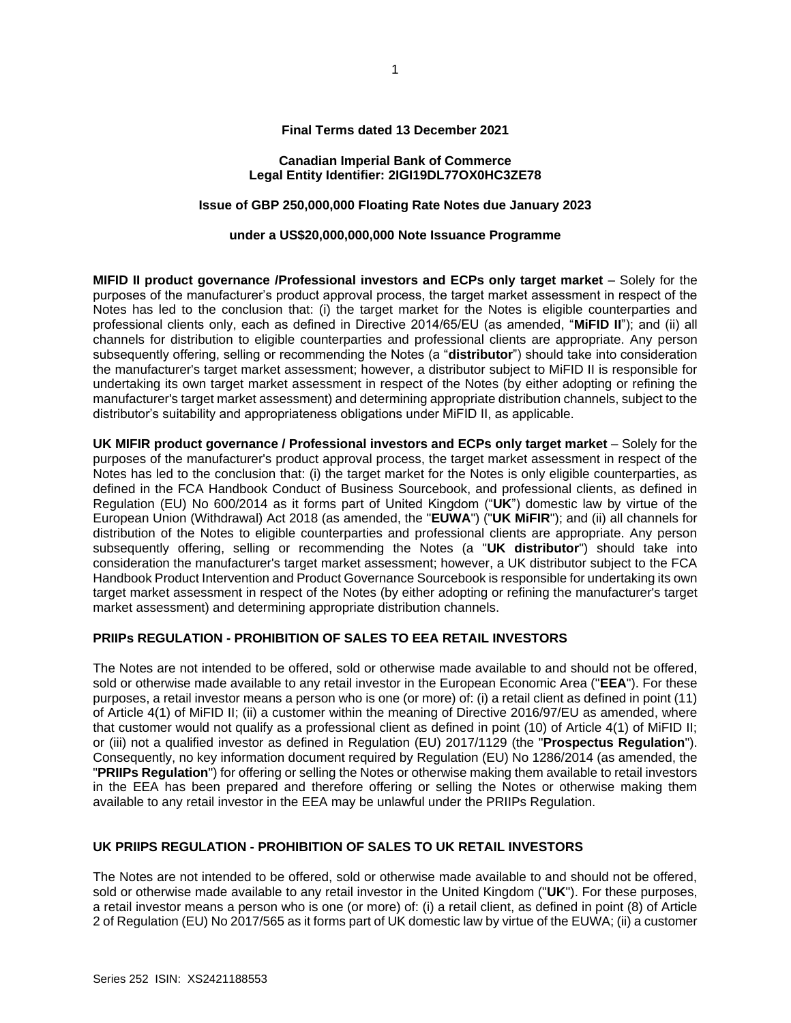#### **Final Terms dated 13 December 2021**

#### **Canadian Imperial Bank of Commerce Legal Entity Identifier: 2IGI19DL77OX0HC3ZE78**

# **Issue of GBP 250,000,000 Floating Rate Notes due January 2023**

#### **under a US\$20,000,000,000 Note Issuance Programme**

**MIFID II product governance /Professional investors and ECPs only target market** – Solely for the purposes of the manufacturer's product approval process, the target market assessment in respect of the Notes has led to the conclusion that: (i) the target market for the Notes is eligible counterparties and professional clients only, each as defined in Directive 2014/65/EU (as amended, "**MiFID II**"); and (ii) all channels for distribution to eligible counterparties and professional clients are appropriate. Any person subsequently offering, selling or recommending the Notes (a "**distributor**") should take into consideration the manufacturer's target market assessment; however, a distributor subject to MiFID II is responsible for undertaking its own target market assessment in respect of the Notes (by either adopting or refining the manufacturer's target market assessment) and determining appropriate distribution channels, subject to the distributor's suitability and appropriateness obligations under MiFID II, as applicable.

**UK MIFIR product governance / Professional investors and ECPs only target market** – Solely for the purposes of the manufacturer's product approval process, the target market assessment in respect of the Notes has led to the conclusion that: (i) the target market for the Notes is only eligible counterparties, as defined in the FCA Handbook Conduct of Business Sourcebook, and professional clients, as defined in Regulation (EU) No 600/2014 as it forms part of United Kingdom ("**UK**") domestic law by virtue of the European Union (Withdrawal) Act 2018 (as amended, the "**EUWA**") ("**UK MiFIR**"); and (ii) all channels for distribution of the Notes to eligible counterparties and professional clients are appropriate. Any person subsequently offering, selling or recommending the Notes (a "**UK distributor**") should take into consideration the manufacturer's target market assessment; however, a UK distributor subject to the FCA Handbook Product Intervention and Product Governance Sourcebook is responsible for undertaking its own target market assessment in respect of the Notes (by either adopting or refining the manufacturer's target market assessment) and determining appropriate distribution channels.

## **PRIIPs REGULATION - PROHIBITION OF SALES TO EEA RETAIL INVESTORS**

The Notes are not intended to be offered, sold or otherwise made available to and should not be offered, sold or otherwise made available to any retail investor in the European Economic Area ("**EEA**"). For these purposes, a retail investor means a person who is one (or more) of: (i) a retail client as defined in point (11) of Article 4(1) of MiFID II; (ii) a customer within the meaning of Directive 2016/97/EU as amended, where that customer would not qualify as a professional client as defined in point (10) of Article 4(1) of MiFID II; or (iii) not a qualified investor as defined in Regulation (EU) 2017/1129 (the "**Prospectus Regulation**"). Consequently, no key information document required by Regulation (EU) No 1286/2014 (as amended, the "**PRIIPs Regulation**") for offering or selling the Notes or otherwise making them available to retail investors in the EEA has been prepared and therefore offering or selling the Notes or otherwise making them available to any retail investor in the EEA may be unlawful under the PRIIPs Regulation.

# **UK PRIIPS REGULATION - PROHIBITION OF SALES TO UK RETAIL INVESTORS**

The Notes are not intended to be offered, sold or otherwise made available to and should not be offered, sold or otherwise made available to any retail investor in the United Kingdom ("**UK**"). For these purposes, a retail investor means a person who is one (or more) of: (i) a retail client, as defined in point (8) of Article 2 of Regulation (EU) No 2017/565 as it forms part of UK domestic law by virtue of the EUWA; (ii) a customer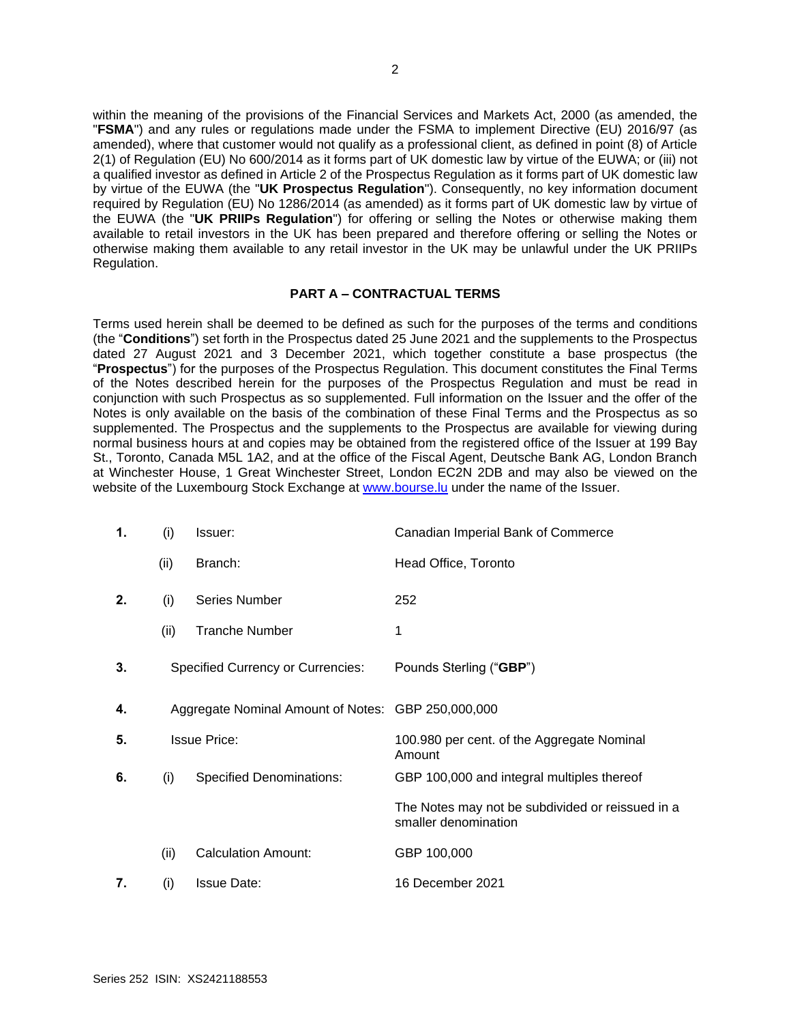within the meaning of the provisions of the Financial Services and Markets Act, 2000 (as amended, the "**FSMA**") and any rules or regulations made under the FSMA to implement Directive (EU) 2016/97 (as amended), where that customer would not qualify as a professional client, as defined in point (8) of Article 2(1) of Regulation (EU) No 600/2014 as it forms part of UK domestic law by virtue of the EUWA; or (iii) not a qualified investor as defined in Article 2 of the Prospectus Regulation as it forms part of UK domestic law by virtue of the EUWA (the "**UK Prospectus Regulation**"). Consequently, no key information document required by Regulation (EU) No 1286/2014 (as amended) as it forms part of UK domestic law by virtue of the EUWA (the "**UK PRIIPs Regulation**") for offering or selling the Notes or otherwise making them available to retail investors in the UK has been prepared and therefore offering or selling the Notes or otherwise making them available to any retail investor in the UK may be unlawful under the UK PRIIPs Regulation.

## **PART A – CONTRACTUAL TERMS**

Terms used herein shall be deemed to be defined as such for the purposes of the terms and conditions (the "**Conditions**") set forth in the Prospectus dated 25 June 2021 and the supplements to the Prospectus dated 27 August 2021 and 3 December 2021, which together constitute a base prospectus (the "**Prospectus**") for the purposes of the Prospectus Regulation. This document constitutes the Final Terms of the Notes described herein for the purposes of the Prospectus Regulation and must be read in conjunction with such Prospectus as so supplemented. Full information on the Issuer and the offer of the Notes is only available on the basis of the combination of these Final Terms and the Prospectus as so supplemented. The Prospectus and the supplements to the Prospectus are available for viewing during normal business hours at and copies may be obtained from the registered office of the Issuer at 199 Bay St., Toronto, Canada M5L 1A2, and at the office of the Fiscal Agent, Deutsche Bank AG, London Branch at Winchester House, 1 Great Winchester Street, London EC2N 2DB and may also be viewed on the website of the Luxembourg Stock Exchange at [www.bourse.lu](http://www.bourse.lu/) under the name of the Issuer.

| 1. | (i)  | Issuer:                                            | Canadian Imperial Bank of Commerce                                       |
|----|------|----------------------------------------------------|--------------------------------------------------------------------------|
|    | (ii) | Branch:                                            | Head Office, Toronto                                                     |
| 2. | (i)  | <b>Series Number</b>                               | 252                                                                      |
|    | (ii) | <b>Tranche Number</b>                              | 1                                                                        |
| 3. |      | <b>Specified Currency or Currencies:</b>           | Pounds Sterling ("GBP")                                                  |
| 4. |      | Aggregate Nominal Amount of Notes: GBP 250,000,000 |                                                                          |
| 5. |      | <b>Issue Price:</b>                                | 100.980 per cent. of the Aggregate Nominal<br>Amount                     |
| 6. | (i)  | <b>Specified Denominations:</b>                    | GBP 100,000 and integral multiples thereof                               |
|    |      |                                                    | The Notes may not be subdivided or reissued in a<br>smaller denomination |
|    | (ii) | <b>Calculation Amount:</b>                         | GBP 100,000                                                              |
| 7. | (i)  | <b>Issue Date:</b>                                 | 16 December 2021                                                         |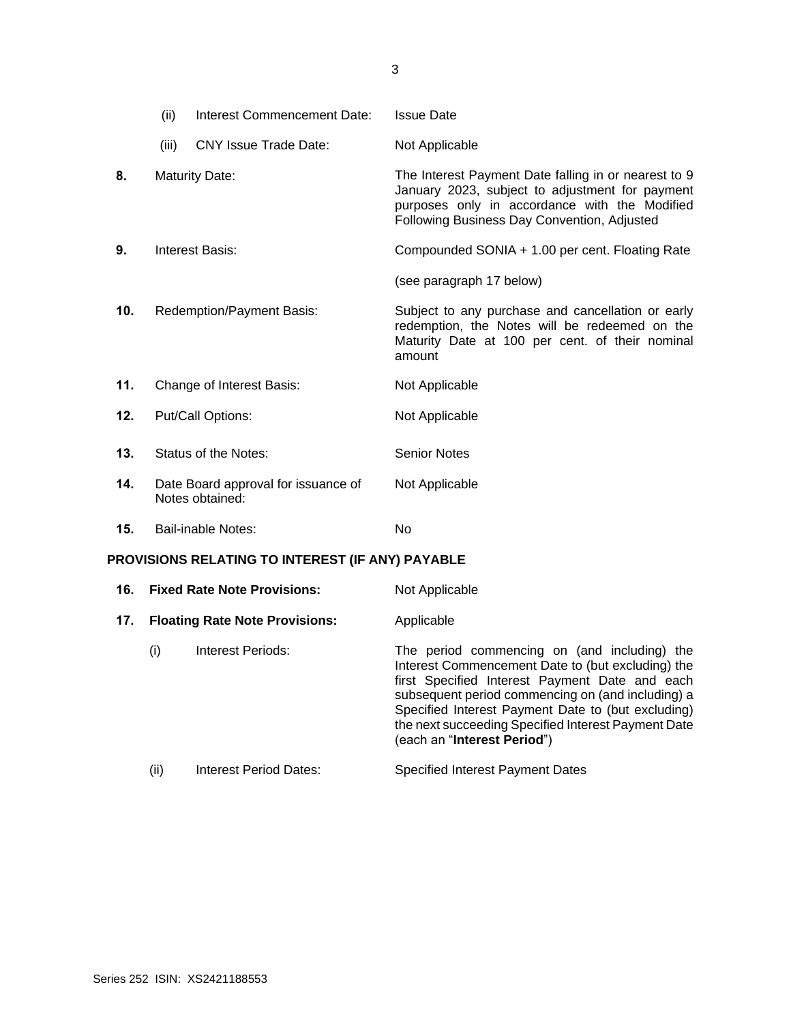|                                                  | (ii)  | Interest Commencement Date:                            | <b>Issue Date</b>                                                                                                                                                                                       |
|--------------------------------------------------|-------|--------------------------------------------------------|---------------------------------------------------------------------------------------------------------------------------------------------------------------------------------------------------------|
|                                                  | (iii) | <b>CNY Issue Trade Date:</b>                           | Not Applicable                                                                                                                                                                                          |
| 8.                                               |       | <b>Maturity Date:</b>                                  | The Interest Payment Date falling in or nearest to 9<br>January 2023, subject to adjustment for payment<br>purposes only in accordance with the Modified<br>Following Business Day Convention, Adjusted |
| 9.                                               |       | Interest Basis:                                        | Compounded SONIA + 1.00 per cent. Floating Rate                                                                                                                                                         |
|                                                  |       |                                                        | (see paragraph 17 below)                                                                                                                                                                                |
| 10.                                              |       | Redemption/Payment Basis:                              | Subject to any purchase and cancellation or early<br>redemption, the Notes will be redeemed on the<br>Maturity Date at 100 per cent. of their nominal<br>amount                                         |
| 11.                                              |       | Change of Interest Basis:                              | Not Applicable                                                                                                                                                                                          |
| 12.                                              |       | Put/Call Options:                                      | Not Applicable                                                                                                                                                                                          |
| 13.                                              |       | <b>Status of the Notes:</b>                            | <b>Senior Notes</b>                                                                                                                                                                                     |
| 14.                                              |       | Date Board approval for issuance of<br>Notes obtained: | Not Applicable                                                                                                                                                                                          |
| 15.                                              |       | Bail-inable Notes:                                     | <b>No</b>                                                                                                                                                                                               |
| PROVISIONS RELATING TO INTEREST (IF ANY) PAYABLE |       |                                                        |                                                                                                                                                                                                         |
| 1 G                                              |       | <b>Fived Rate Note Provisions:</b>                     | Not Annlicable                                                                                                                                                                                          |

| 16. |      | <b>Fixed Rate Note Provisions:</b>    | Not Applicable                                                                                                                                                                                                                                                                                                                                       |
|-----|------|---------------------------------------|------------------------------------------------------------------------------------------------------------------------------------------------------------------------------------------------------------------------------------------------------------------------------------------------------------------------------------------------------|
| 17. |      | <b>Floating Rate Note Provisions:</b> | Applicable                                                                                                                                                                                                                                                                                                                                           |
|     | (i)  | Interest Periods:                     | The period commencing on (and including) the<br>Interest Commencement Date to (but excluding) the<br>first Specified Interest Payment Date and each<br>subsequent period commencing on (and including) a<br>Specified Interest Payment Date to (but excluding)<br>the next succeeding Specified Interest Payment Date<br>(each an "Interest Period") |
|     | (ii) | Interest Period Dates:                | <b>Specified Interest Payment Dates</b>                                                                                                                                                                                                                                                                                                              |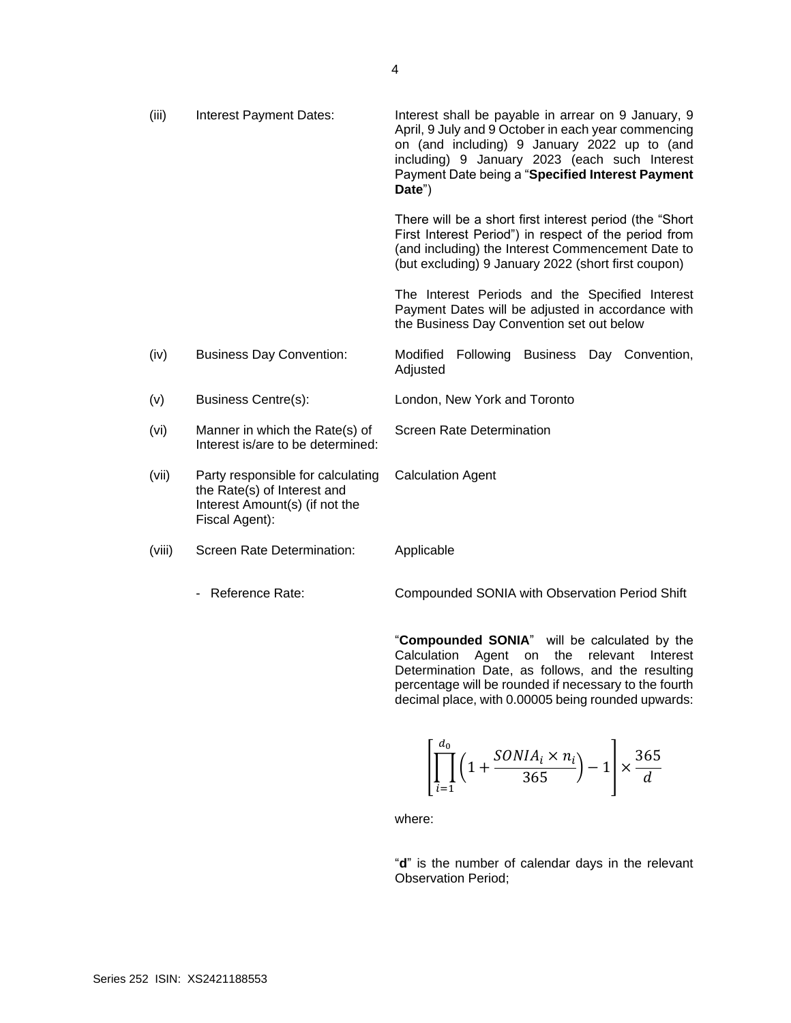| (iii)  | <b>Interest Payment Dates:</b>                                                                                       | Interest shall be payable in arrear on 9 January, 9<br>April, 9 July and 9 October in each year commencing<br>on (and including) 9 January 2022 up to (and<br>including) 9 January 2023 (each such Interest<br>Payment Date being a "Specified Interest Payment<br>Date") |
|--------|----------------------------------------------------------------------------------------------------------------------|---------------------------------------------------------------------------------------------------------------------------------------------------------------------------------------------------------------------------------------------------------------------------|
|        |                                                                                                                      | There will be a short first interest period (the "Short"<br>First Interest Period") in respect of the period from<br>(and including) the Interest Commencement Date to<br>(but excluding) 9 January 2022 (short first coupon)                                             |
|        |                                                                                                                      | The Interest Periods and the Specified Interest<br>Payment Dates will be adjusted in accordance with<br>the Business Day Convention set out below                                                                                                                         |
| (iv)   | <b>Business Day Convention:</b>                                                                                      | Modified<br>Following Business Day Convention,<br>Adjusted                                                                                                                                                                                                                |
| (v)    | Business Centre(s):                                                                                                  | London, New York and Toronto                                                                                                                                                                                                                                              |
| (vi)   | Manner in which the Rate(s) of<br>Interest is/are to be determined:                                                  | <b>Screen Rate Determination</b>                                                                                                                                                                                                                                          |
| (vii)  | Party responsible for calculating<br>the Rate(s) of Interest and<br>Interest Amount(s) (if not the<br>Fiscal Agent): | <b>Calculation Agent</b>                                                                                                                                                                                                                                                  |
| (viii) | Screen Rate Determination:                                                                                           | Applicable                                                                                                                                                                                                                                                                |
|        | Reference Rate:                                                                                                      | Compounded SONIA with Observation Period Shift                                                                                                                                                                                                                            |

"**Compounded SONIA**" will be calculated by the Calculation Agent on the relevant Interest Determination Date, as follows, and the resulting percentage will be rounded if necessary to the fourth decimal place, with 0.00005 being rounded upwards:

$$
\left[\prod_{i=1}^{d_0}\left(1+\frac{SONIA_i\times n_i}{365}\right)-1\right]\times \frac{365}{d}
$$

where:

"**d**" is the number of calendar days in the relevant Observation Period;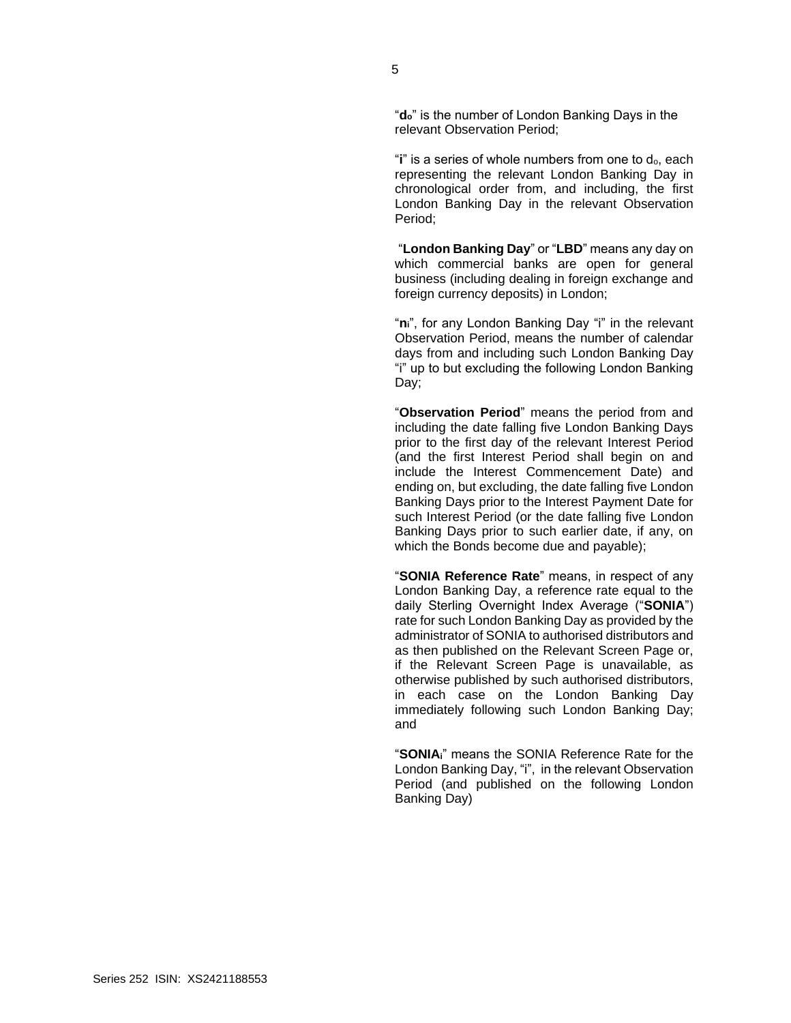"**do**" is the number of London Banking Days in the relevant Observation Period;

"**i**" is a series of whole numbers from one to  $d_0$ , each representing the relevant London Banking Day in chronological order from, and including, the first London Banking Day in the relevant Observation Period;

"**London Banking Day**" or "**LBD**" means any day on which commercial banks are open for general business (including dealing in foreign exchange and foreign currency deposits) in London;

"**ni**", for any London Banking Day "i" in the relevant Observation Period, means the number of calendar days from and including such London Banking Day "i" up to but excluding the following London Banking Day;

"**Observation Period**" means the period from and including the date falling five London Banking Days prior to the first day of the relevant Interest Period (and the first Interest Period shall begin on and include the Interest Commencement Date) and ending on, but excluding, the date falling five London Banking Days prior to the Interest Payment Date for such Interest Period (or the date falling five London Banking Days prior to such earlier date, if any, on which the Bonds become due and payable);

"**SONIA Reference Rate**" means, in respect of any London Banking Day, a reference rate equal to the daily Sterling Overnight Index Average ("**SONIA**") rate for such London Banking Day as provided by the administrator of SONIA to authorised distributors and as then published on the Relevant Screen Page or, if the Relevant Screen Page is unavailable, as otherwise published by such authorised distributors, in each case on the London Banking Day immediately following such London Banking Day; and

"**SONIAi**" means the SONIA Reference Rate for the London Banking Day, "i", in the relevant Observation Period (and published on the following London Banking Day)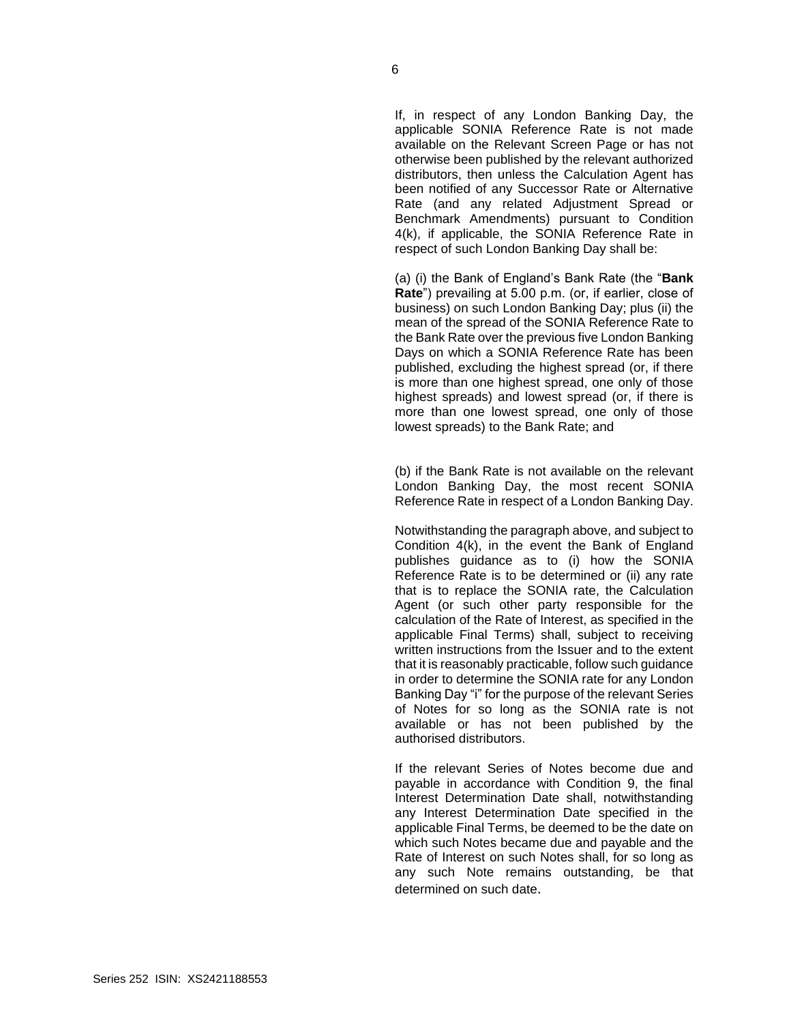If, in respect of any London Banking Day, the applicable SONIA Reference Rate is not made available on the Relevant Screen Page or has not otherwise been published by the relevant authorized distributors, then unless the Calculation Agent has been notified of any Successor Rate or Alternative Rate (and any related Adjustment Spread or Benchmark Amendments) pursuant to Condition 4(k), if applicable, the SONIA Reference Rate in respect of such London Banking Day shall be:

(a) (i) the Bank of England's Bank Rate (the "**Bank Rate**") prevailing at 5.00 p.m. (or, if earlier, close of business) on such London Banking Day; plus (ii) the mean of the spread of the SONIA Reference Rate to the Bank Rate over the previous five London Banking Days on which a SONIA Reference Rate has been published, excluding the highest spread (or, if there is more than one highest spread, one only of those highest spreads) and lowest spread (or, if there is more than one lowest spread, one only of those lowest spreads) to the Bank Rate; and

(b) if the Bank Rate is not available on the relevant London Banking Day, the most recent SONIA Reference Rate in respect of a London Banking Day.

Notwithstanding the paragraph above, and subject to Condition 4(k), in the event the Bank of England publishes guidance as to (i) how the SONIA Reference Rate is to be determined or (ii) any rate that is to replace the SONIA rate, the Calculation Agent (or such other party responsible for the calculation of the Rate of Interest, as specified in the applicable Final Terms) shall, subject to receiving written instructions from the Issuer and to the extent that it is reasonably practicable, follow such guidance in order to determine the SONIA rate for any London Banking Day "i" for the purpose of the relevant Series of Notes for so long as the SONIA rate is not available or has not been published by the authorised distributors.

If the relevant Series of Notes become due and payable in accordance with Condition 9, the final Interest Determination Date shall, notwithstanding any Interest Determination Date specified in the applicable Final Terms, be deemed to be the date on which such Notes became due and payable and the Rate of Interest on such Notes shall, for so long as any such Note remains outstanding, be that determined on such date.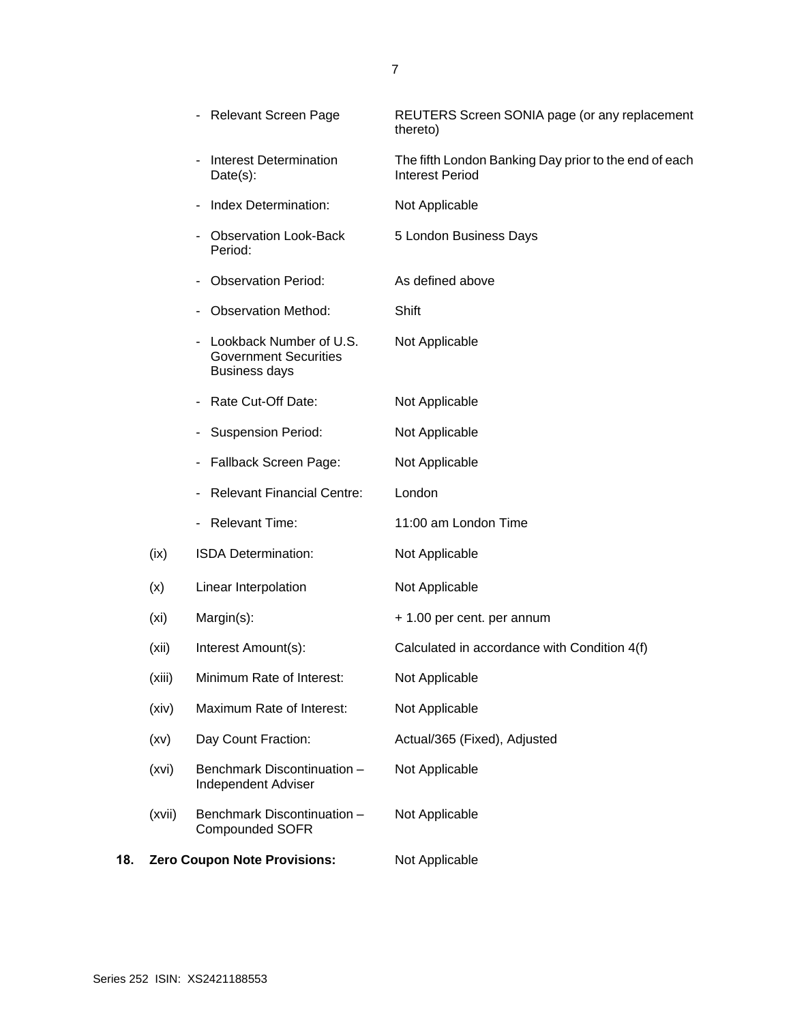|     |                   | <b>Relevant Screen Page</b>                                                     | REUTERS Screen SONIA page (or any replacement<br>thereto)                       |
|-----|-------------------|---------------------------------------------------------------------------------|---------------------------------------------------------------------------------|
|     |                   | <b>Interest Determination</b><br>Date(s):                                       | The fifth London Banking Day prior to the end of each<br><b>Interest Period</b> |
|     |                   | Index Determination:                                                            | Not Applicable                                                                  |
|     |                   | <b>Observation Look-Back</b><br>Period:                                         | 5 London Business Days                                                          |
|     |                   | <b>Observation Period:</b>                                                      | As defined above                                                                |
|     |                   | <b>Observation Method:</b>                                                      | Shift                                                                           |
|     |                   | Lookback Number of U.S.<br><b>Government Securities</b><br><b>Business days</b> | Not Applicable                                                                  |
|     |                   | Rate Cut-Off Date:                                                              | Not Applicable                                                                  |
|     |                   | <b>Suspension Period:</b>                                                       | Not Applicable                                                                  |
|     |                   | Fallback Screen Page:                                                           | Not Applicable                                                                  |
|     |                   | <b>Relevant Financial Centre:</b>                                               | London                                                                          |
|     |                   | - Relevant Time:                                                                | 11:00 am London Time                                                            |
|     | (ix)              | ISDA Determination:                                                             | Not Applicable                                                                  |
|     | (x)               | Linear Interpolation                                                            | Not Applicable                                                                  |
|     | (x <sub>i</sub> ) | Margin(s):                                                                      | + 1.00 per cent. per annum                                                      |
|     | (xii)             | Interest Amount(s):                                                             | Calculated in accordance with Condition 4(f)                                    |
|     | (xiii)            | Minimum Rate of Interest:                                                       | Not Applicable                                                                  |
|     | (xiv)             | Maximum Rate of Interest:                                                       | Not Applicable                                                                  |
|     | (xv)              | Day Count Fraction:                                                             | Actual/365 (Fixed), Adjusted                                                    |
|     | (xvi)             | Benchmark Discontinuation -<br>Independent Adviser                              | Not Applicable                                                                  |
|     | (xvii)            | Benchmark Discontinuation -<br><b>Compounded SOFR</b>                           | Not Applicable                                                                  |
| 18. |                   | <b>Zero Coupon Note Provisions:</b>                                             | Not Applicable                                                                  |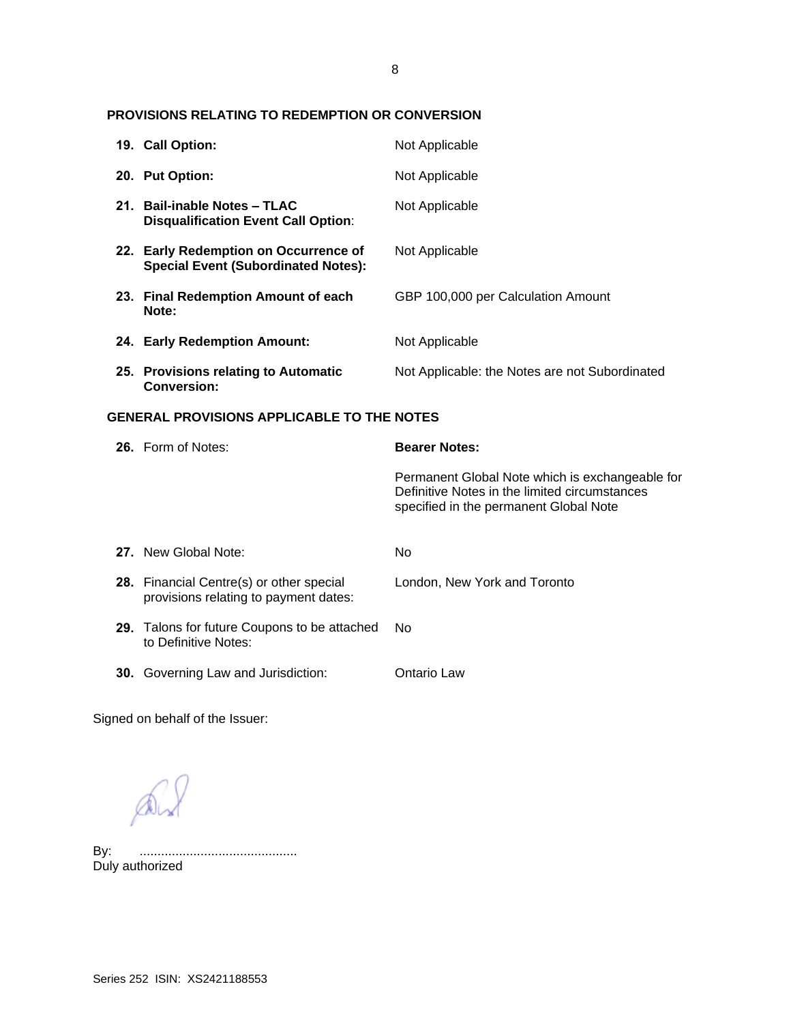# 8

## **PROVISIONS RELATING TO REDEMPTION OR CONVERSION**

|                                                   | 19. Call Option:                                                                    | Not Applicable                                                                                                                             |
|---------------------------------------------------|-------------------------------------------------------------------------------------|--------------------------------------------------------------------------------------------------------------------------------------------|
|                                                   | 20. Put Option:                                                                     | Not Applicable                                                                                                                             |
|                                                   | 21. Bail-inable Notes - TLAC<br><b>Disqualification Event Call Option:</b>          | Not Applicable                                                                                                                             |
|                                                   | 22. Early Redemption on Occurrence of<br><b>Special Event (Subordinated Notes):</b> | Not Applicable                                                                                                                             |
|                                                   | 23. Final Redemption Amount of each<br>Note:                                        | GBP 100,000 per Calculation Amount                                                                                                         |
|                                                   | 24. Early Redemption Amount:                                                        | Not Applicable                                                                                                                             |
|                                                   | 25. Provisions relating to Automatic<br><b>Conversion:</b>                          | Not Applicable: the Notes are not Subordinated                                                                                             |
| <b>GENERAL PROVISIONS APPLICABLE TO THE NOTES</b> |                                                                                     |                                                                                                                                            |
|                                                   |                                                                                     |                                                                                                                                            |
|                                                   | 26. Form of Notes:                                                                  | <b>Bearer Notes:</b>                                                                                                                       |
|                                                   |                                                                                     | Permanent Global Note which is exchangeable for<br>Definitive Notes in the limited circumstances<br>specified in the permanent Global Note |
|                                                   | 27. New Global Note:                                                                | <b>No</b>                                                                                                                                  |
|                                                   | 28. Financial Centre(s) or other special<br>provisions relating to payment dates:   | London, New York and Toronto                                                                                                               |
|                                                   | 29. Talons for future Coupons to be attached<br>to Definitive Notes:                | <b>No</b>                                                                                                                                  |

Signed on behalf of the Issuer:

 $Q_{\lambda}$ 

By: ............................................ By: .............<br>Duly authorized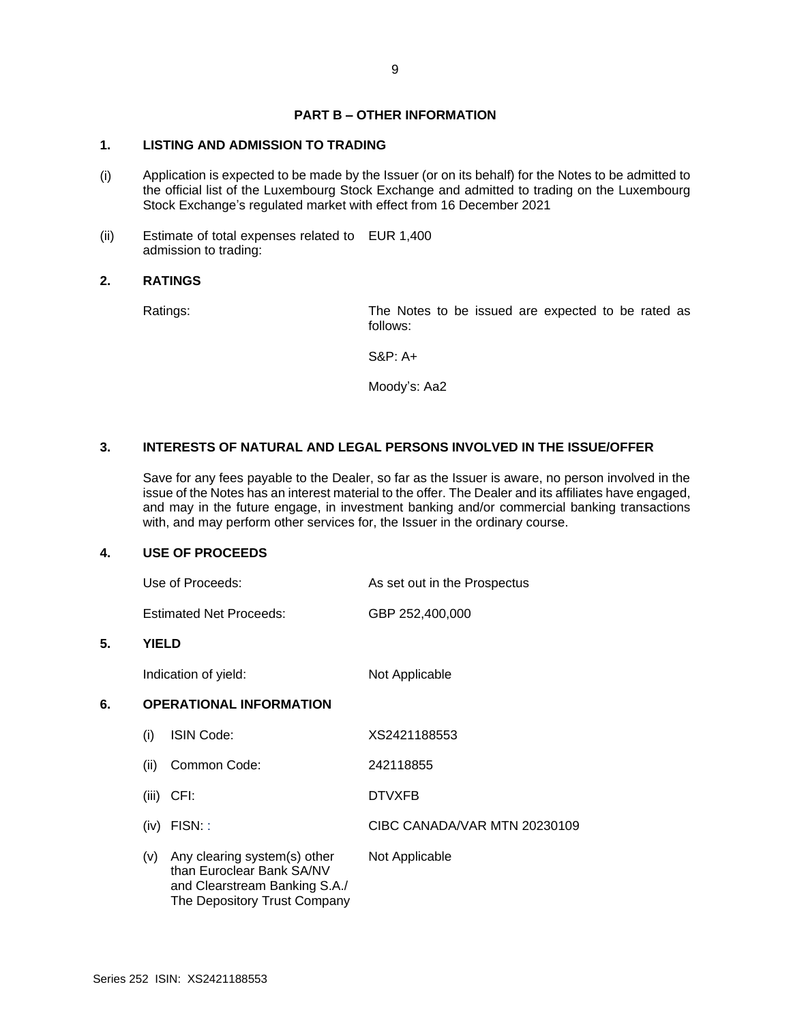# **PART B – OTHER INFORMATION**

# **1. LISTING AND ADMISSION TO TRADING**

- (i) Application is expected to be made by the Issuer (or on its behalf) for the Notes to be admitted to the official list of the Luxembourg Stock Exchange and admitted to trading on the Luxembourg Stock Exchange's regulated market with effect from 16 December 2021
- (ii) Estimate of total expenses related to EUR 1,400 admission to trading:

#### **2. RATINGS**

Ratings: The Notes to be issued are expected to be rated as follows:

S&P: A+

Moody's: Aa2

## **3. INTERESTS OF NATURAL AND LEGAL PERSONS INVOLVED IN THE ISSUE/OFFER**

Save for any fees payable to the Dealer, so far as the Issuer is aware, no person involved in the issue of the Notes has an interest material to the offer. The Dealer and its affiliates have engaged, and may in the future engage, in investment banking and/or commercial banking transactions with, and may perform other services for, the Issuer in the ordinary course.

#### **4. USE OF PROCEEDS**

| Use of Proceeds:               | As set out in the Prospectus |
|--------------------------------|------------------------------|
| <b>Estimated Net Proceeds:</b> | GBP 252,400,000              |

#### **5. YIELD**

Indication of yield: Not Applicable

# **6. OPERATIONAL INFORMATION**

| $\mathbf{I}$ | <b>ISIN Code:</b>                                                                                                          | XS2421188553                 |
|--------------|----------------------------------------------------------------------------------------------------------------------------|------------------------------|
| (ii)         | Common Code:                                                                                                               | 242118855                    |
| (iii)        | CFI:                                                                                                                       | <b>DTVXFB</b>                |
| (iv)         | FISN::                                                                                                                     | CIBC CANADA/VAR MTN 20230109 |
| (v)          | Any clearing system(s) other<br>than Euroclear Bank SA/NV<br>and Clearstream Banking S.A./<br>The Depository Trust Company | Not Applicable               |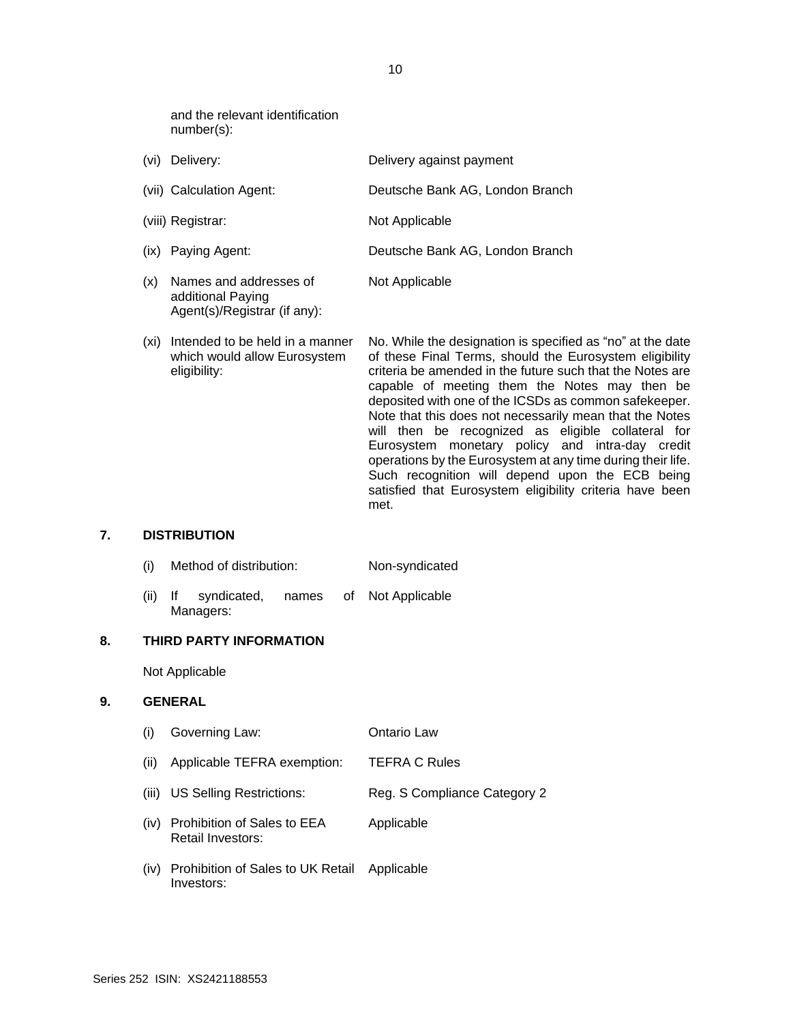and the relevant identification number(s):

Agent(s)/Registrar (if any):

| (vi) | Delivery:                                   | Delivery against payment        |
|------|---------------------------------------------|---------------------------------|
|      | (vii) Calculation Agent:                    | Deutsche Bank AG, London Branch |
|      | (viii) Registrar:                           | Not Applicable                  |
|      | (ix) Paying Agent:                          | Deutsche Bank AG, London Branch |
| (x)  | Names and addresses of<br>additional Paying | Not Applicable                  |

(xi) Intended to be held in a manner which would allow Eurosystem eligibility: No. While the designation is specified as "no" at the date of these Final Terms, should the Eurosystem eligibility criteria be amended in the future such that the Notes are capable of meeting them the Notes may then be deposited with one of the ICSDs as common safekeeper. Note that this does not necessarily mean that the Notes will then be recognized as eligible collateral for Eurosystem monetary policy and intra-day credit operations by the Eurosystem at any time during their life. Such recognition will depend upon the ECB being satisfied that Eurosystem eligibility criteria have been met.

#### **7. DISTRIBUTION**

- (i) Method of distribution: Non-syndicated
- (ii) If syndicated, names of Managers: Not Applicable

#### **8. THIRD PARTY INFORMATION**

Not Applicable

#### **9. GENERAL**

- (i) Governing Law: Ontario Law (ii) Applicable TEFRA exemption: TEFRA C Rules
- (iii) US Selling Restrictions: Reg. S Compliance Category 2
- (iv) Prohibition of Sales to EEA Retail Investors: Applicable
- (iv) Prohibition of Sales to UK Retail Investors: Applicable